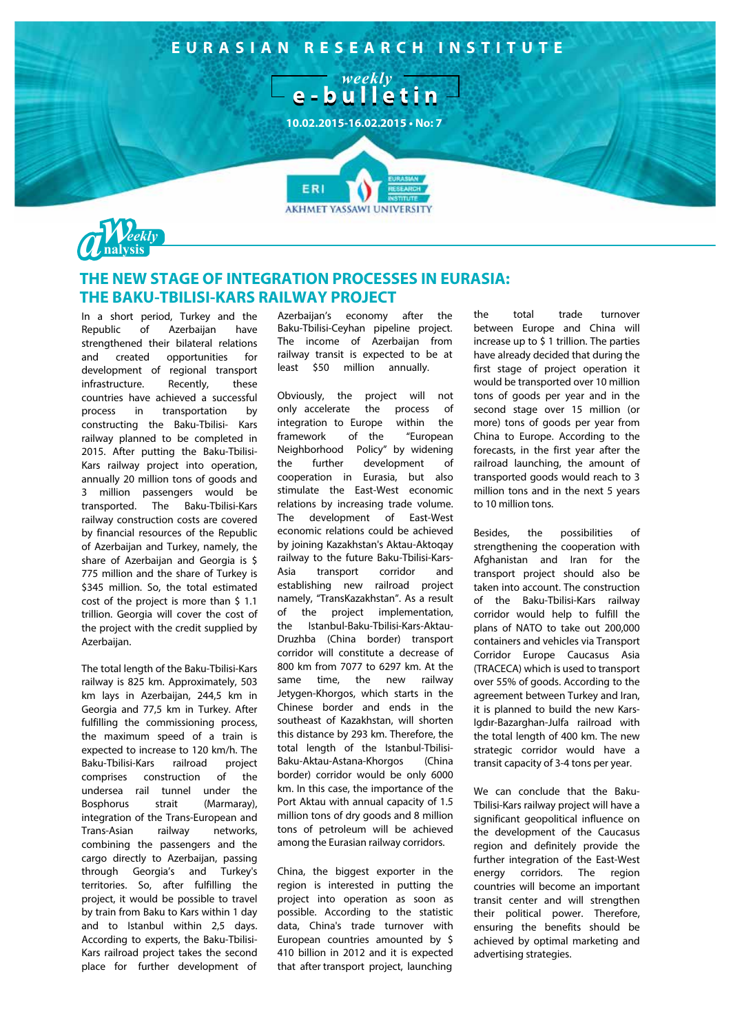



## THE NEW STAGE OF INTEGRATION PROCESSES IN EURASIA: THE BAKU-TBILISI-KARS RAILWAY PROJECT

In a short period, Turkey and the Republic of Azerbaijan have strengthened their bilateral relations and created opportunities for development of regional transport infrastructure Recently, these countries have achieved a successful process in transportation  $-$  by constructing the Baku-Tbilisi- Kars railway planned to be completed in 2015. After putting the Baku-Tbilisi-Kars railway project into operation, annually 20 million tons of goods and 3 million passengers would be transported. The Baku-Tbilisi-Kars railway construction costs are covered by financial resources of the Republic of Azerbaijan and Turkey, namely, the share of Azerbaijan and Georgia is \$ 775 million and the share of Turkey is \$345 million. So, the total estimated cost of the project is more than \$ 1.1 trillion. Georgia will cover the cost of the project with the credit supplied by Azerbaiian.

The total length of the Baku-Tbilisi-Kars railway is 825 km. Approximately, 503 km lays in Azerbaijan, 244,5 km in Georgia and 77,5 km in Turkey. After fulfilling the commissioning process, the maximum speed of a train is expected to increase to 120 km/h. The Baku-Tbilisi-Kars railroad project comprises construction  $of$  the undersea rail tunnel under the **Bosphorus** strait (Marmaray). integration of the Trans-European and Trans-Asian railwav networks. combining the passengers and the cargo directly to Azerbaijan, passing through Georgia's and Turkey's territories. So, after fulfilling the project, it would be possible to travel by train from Baku to Kars within 1 day and to Istanbul within 2,5 days. According to experts, the Baku-Tbilisi-Kars railroad project takes the second place for further development of

Azerbaijan's economy after the Baku-Tbilisi-Ceyhan pipeline project. The income of Azerbaijan from railway transit is expected to be at least \$50 million annually.

Obviously, the project will not only accelerate the process of integration to Europe within the framework of the "European Neighborhood Policy" by widening further the development of cooperation in Eurasia, but also stimulate the East-West economic relations by increasing trade volume. The development of East-West economic relations could be achieved by joining Kazakhstan's Aktau-Aktoqay railway to the future Baku-Tbilisi-Karstransport corridor Asia and establishing new railroad project namely, "TransKazakhstan". As a result of the project implementation, the Istanbul-Baku-Tbilisi-Kars-Aktau-Druzhba (China border) transport corridor will constitute a decrease of 800 km from 7077 to 6297 km. At the same time, the new railway Jetvgen-Khorgos, which starts in the Chinese border and ends in the southeast of Kazakhstan, will shorten this distance by 293 km. Therefore, the total length of the Istanbul-Tbilisi-Baku-Aktau-Astana-Khorgos (China border) corridor would be only 6000 km. In this case, the importance of the Port Aktau with annual capacity of 1.5 million tons of dry goods and 8 million tons of petroleum will be achieved among the Eurasian railway corridors.

China, the biggest exporter in the region is interested in putting the project into operation as soon as possible. According to the statistic data, China's trade turnover with European countries amounted by \$ 410 billion in 2012 and it is expected that after transport project, launching

the total trade turnover between Europe and China will increase up to \$1 trillion. The parties have already decided that during the first stage of project operation it would be transported over 10 million tons of goods per year and in the second stage over 15 million (or more) tons of goods per year from China to Europe. According to the forecasts, in the first year after the railroad launching, the amount of transported goods would reach to 3 million tons and in the next 5 years to 10 million tons.

Besides. the possibilities  $\alpha$ f strengthening the cooperation with Afghanistan and Iran for the transport project should also be taken into account. The construction of the Baku-Tbilisi-Kars railway corridor would help to fulfill the plans of NATO to take out 200,000 containers and vehicles via Transport Corridor Europe Caucasus Asia (TRACECA) which is used to transport over 55% of goods. According to the agreement between Turkey and Iran, it is planned to build the new Kars-Igdır-Bazarghan-Julfa railroad with the total length of 400 km. The new strategic corridor would have a transit capacity of 3-4 tons per year.

We can conclude that the Baku-Tbilisi-Kars railway project will have a significant geopolitical influence on the development of the Caucasus region and definitely provide the further integration of the East-West eneray corridors. The region countries will become an important transit center and will strengthen their political power. Therefore, ensuring the benefits should be achieved by optimal marketing and advertising strategies.